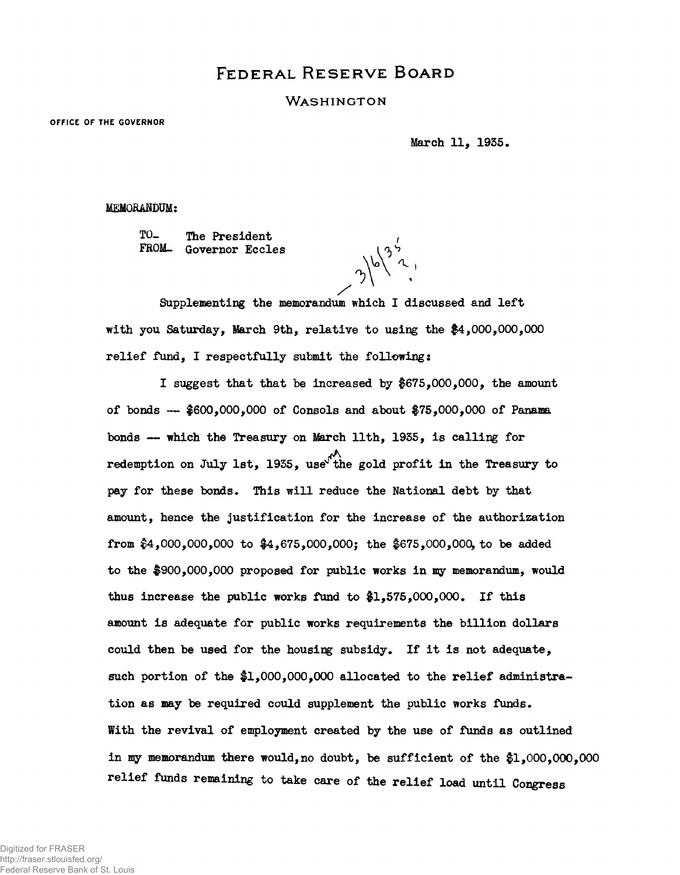## **FEDERAL RESERVE BOARD**

## WASHINGTON

**OFFICE OF THE GOVERNOR**

**March 11, 1955.**

**MEMORANDUM:**

**TO- The President FROM- Governor Eccles**

 $3^{16^{35}}$ 

**Supplementing the memorandum which I discussed and left with you Saturday, March 9th, relative to using the #4,000,000,000 relief fund, I respectfully submit the following:**

**I suggest that that be increased by \$675,000,000, the amount of bonds — #600,000,000 of Consols and about #75,000,000 of Panama bonds — which the Treasury on March 11th, 1935, is calling for redemption on July 1st, 1935, use^ the gold profit in the Treasury to pay for these bonds. This will reduce the National debt by that amount, hence the justification for the increase of the authorization from #4,000,000,000 to #4,675,000,000j the \$675,000,000, to be added to the \$900,000,000 proposed for public works in my memorandum, would thus increase the public works fund to #1,575,000,000. If this amount is adequate for public works requirements the billion dollars** could then be used for the housing subsidy. If it is not adequate, such portion of the \$1,000,000,000 allocated to the relief administra**tion as may be required could supplement the public works funds. With the revival of employment created by the use of ftinds as outlined in my memorandum there would,no doubt, be sufficient of the #1,000,000,000 relief funds remaining to take care of the relief load until Congress**